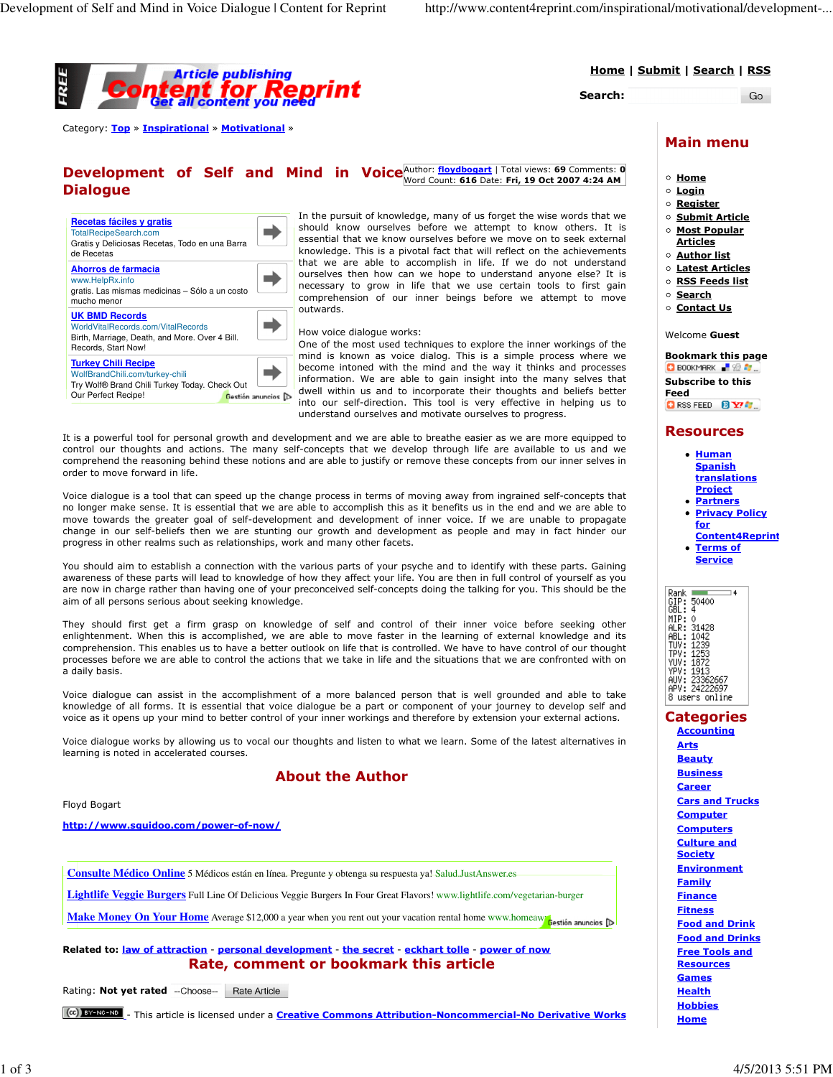

Home | Submit | Search | RSS

Search:

Go

Category: Top » Inspirational » Motivational »

| <b>Development of Self and Mind in Voice</b> Author: floydbogart   Total views: 69 Comments: 0<br>Word Count: 616 Date: Fri, 19 Oct 2007 4:24 AM |  |  |  |  |  |  |  |  |
|--------------------------------------------------------------------------------------------------------------------------------------------------|--|--|--|--|--|--|--|--|
| <b>Dialogue</b>                                                                                                                                  |  |  |  |  |  |  |  |  |
|                                                                                                                                                  |  |  |  |  |  |  |  |  |

| Recetas fáciles y gratis                                                                                                              |                    |
|---------------------------------------------------------------------------------------------------------------------------------------|--------------------|
| <b>TotalRecipeSearch.com</b>                                                                                                          |                    |
| Gratis y Deliciosas Recetas, Todo en una Barra<br>de Recetas                                                                          |                    |
| Ahorros de farmacia<br>www.HelpRx.info<br>gratis. Las mismas medicinas - Sólo a un costo<br>mucho menor                               |                    |
| <b>UK BMD Records</b><br>WorldVitalRecords.com/VitalRecords<br>Birth, Marriage, Death, and More. Over 4 Bill.<br>Records, Start Now!  |                    |
| <b>Turkey Chili Recipe</b><br>WolfBrandChili.com/turkey-chili<br>Try Wolf® Brand Chili Turkey Today. Check Out<br>Our Perfect Recipe! | Gestión anuncios D |

In the pursuit of knowledge, many of us forget the wise words that we should know ourselves before we attempt to know others. It is essential that we know ourselves before we move on to seek external knowledge. This is a pivotal fact that will reflect on the achievements that we are able to accomplish in life. If we do not understand ourselves then how can we hope to understand anyone else? It is necessary to grow in life that we use certain tools to first gain comprehension of our inner beings before we attempt to move outwards.

#### How voice dialogue works:

One of the most used techniques to explore the inner workings of the mind is known as voice dialog. This is a simple process where we become intoned with the mind and the way it thinks and processes information. We are able to gain insight into the many selves that  $\Box$  dwell within us and to incorporate their thoughts and beliefs better into our self-direction. This tool is very effective in helping us to understand ourselves and motivate ourselves to progress.

It is a powerful tool for personal growth and development and we are able to breathe easier as we are more equipped to control our thoughts and actions. The many self-concepts that we develop through life are available to us and we comprehend the reasoning behind these notions and are able to justify or remove these concepts from our inner selves in order to move forward in life.

Voice dialogue is a tool that can speed up the change process in terms of moving away from ingrained self-concepts that no longer make sense. It is essential that we are able to accomplish this as it benefits us in the end and we are able to move towards the greater goal of self-development and development of inner voice. If we are unable to propagate change in our self-beliefs then we are stunting our growth and development as people and may in fact hinder our progress in other realms such as relationships, work and many other facets.

You should aim to establish a connection with the various parts of your psyche and to identify with these parts. Gaining awareness of these parts will lead to knowledge of how they affect your life. You are then in full control of yourself as you are now in charge rather than having one of your preconceived self-concepts doing the talking for you. This should be the aim of all persons serious about seeking knowledge.

They should first get a firm grasp on knowledge of self and control of their inner voice before seeking other enlightenment. When this is accomplished, we are able to move faster in the learning of external knowledge and its comprehension. This enables us to have a better outlook on life that is controlled. We have to have control of our thought processes before we are able to control the actions that we take in life and the situations that we are confronted with on a daily basis.

Voice dialogue can assist in the accomplishment of a more balanced person that is well grounded and able to take knowledge of all forms. It is essential that voice dialogue be a part or component of your journey to develop self and voice as it opens up your mind to better control of your inner workings and therefore by extension your external actions.

Voice dialogue works by allowing us to vocal our thoughts and listen to what we learn. Some of the latest alternatives in learning is noted in accelerated courses.

#### About the Author

#### Floyd Bogart

http://www.squidoo.com/power-of-now/

**Consulte Médico Online** 5 Médicos están en línea. Pregunte y obtenga su respuesta ya! Salud.JustAnswer.es

**Lightlife Veggie Burgers** Full Line Of Delicious Veggie Burgers In Four Great Flavors! www.lightlife.com/vegetarian-burger

**Make Money On Your Home** Average \$12,000 a year when you rent out your vacation rental home www.homeawa Gestión anuncios

Related to: law of attraction - personal development - the secret - eckhart tolle - power of now Rate, comment or bookmark this article

Rating: Not yet rated --Choose-- Rate Article

[cc] **EX-NO-NO** - This article is licensed under a **Creative Commons Attribution-Noncommercial-No Derivative Works** 

### Main menu

- $\circ$  Home
- $\circ$  Login
- o Register
- o Submit Article
- o Most Popular **Articles**
- Author list
- o Latest Articles
- o RSS Feeds list
- o Search
- o Contact Us

Welcome Guest

Bookmark this page  $\Box$  Bookmark  $\Box$ Subscribe to this Feed

**CIRSS FEED BY Y!** 

#### Resources

- Human **Spanish** translations Project
- **Partners** Privacy Policy
	- for Content4Reprint
- Terms of **Service**

| Rank   | 4              |  |
|--------|----------------|--|
| GIP:   | 50400          |  |
| GBL:   | 4              |  |
| MIP:   | Ô              |  |
| ALR:   | 31428          |  |
| ABL:   | 1042           |  |
| TLIV : | 1239           |  |
| TPV:   | 1253           |  |
| YUV:   | 1872           |  |
| YPV:   | 1913           |  |
|        | AUV: 23362667  |  |
|        | APV: 24222697  |  |
|        |                |  |
|        | 8 users online |  |

### **Categories**

**Accounting** Arts **Beauty Business** Career Cars and Trucks **Computer Computers** Culture and **Society Environment Family Finance Fitness** Food and Drink Food and Drinks Free Tools and **Resources Games Health Hobbies Home**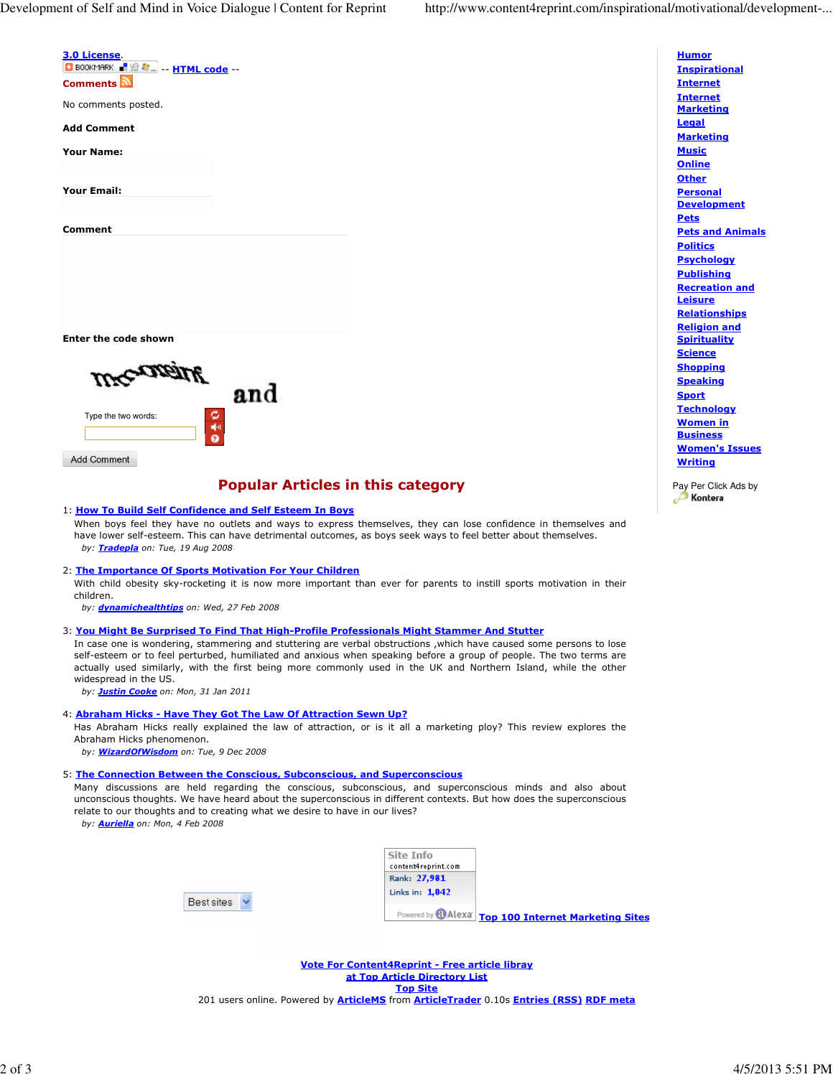| <u>3.0 License</u> .                                                                                                                                                                                                                                                                                                                                      |                                                |                                         |
|-----------------------------------------------------------------------------------------------------------------------------------------------------------------------------------------------------------------------------------------------------------------------------------------------------------------------------------------------------------|------------------------------------------------|-----------------------------------------|
| <b>C</b> BOOKMARK <b>F</b> & <b>C</b> -- <b>HTML code</b> --<br><b>Comments</b>                                                                                                                                                                                                                                                                           |                                                |                                         |
| No comments posted.                                                                                                                                                                                                                                                                                                                                       |                                                |                                         |
| Add Comment                                                                                                                                                                                                                                                                                                                                               |                                                |                                         |
| Your Name:                                                                                                                                                                                                                                                                                                                                                |                                                |                                         |
|                                                                                                                                                                                                                                                                                                                                                           |                                                |                                         |
| Your Email:                                                                                                                                                                                                                                                                                                                                               |                                                |                                         |
| Comment                                                                                                                                                                                                                                                                                                                                                   |                                                |                                         |
|                                                                                                                                                                                                                                                                                                                                                           |                                                |                                         |
|                                                                                                                                                                                                                                                                                                                                                           |                                                |                                         |
|                                                                                                                                                                                                                                                                                                                                                           |                                                |                                         |
| Enter the code shown                                                                                                                                                                                                                                                                                                                                      |                                                |                                         |
|                                                                                                                                                                                                                                                                                                                                                           |                                                |                                         |
|                                                                                                                                                                                                                                                                                                                                                           |                                                |                                         |
| and                                                                                                                                                                                                                                                                                                                                                       |                                                |                                         |
| Type the two words:                                                                                                                                                                                                                                                                                                                                       |                                                |                                         |
| 백비<br>0                                                                                                                                                                                                                                                                                                                                                   |                                                |                                         |
| <b>Add Comment</b>                                                                                                                                                                                                                                                                                                                                        |                                                |                                         |
|                                                                                                                                                                                                                                                                                                                                                           |                                                |                                         |
| <b>Popular Articles in this category</b>                                                                                                                                                                                                                                                                                                                  |                                                |                                         |
| 1: How To Build Self Confidence and Self Esteem In Boys<br>When boys feel they have no outlets and ways to express themselves, they can lose confidence in themselves and<br>have lower self-esteem. This can have detrimental outcomes, as boys seek ways to feel better about themselves.<br>by: Tradepla on: Tue, 19 Aug 2008                          |                                                |                                         |
| 2: The Importance Of Sports Motivation For Your Children                                                                                                                                                                                                                                                                                                  |                                                |                                         |
| With child obesity sky-rocketing it is now more important than ever for parents to instill sports motivation in their<br>children.                                                                                                                                                                                                                        |                                                |                                         |
| by: dynamichealthtips on: Wed, 27 Feb 2008                                                                                                                                                                                                                                                                                                                |                                                |                                         |
| 3: <u>You Might Be Surprised To Find That High-Profile Professionals Might Stammer And Stutter</u><br>In case one is wondering, stammering and stuttering are verbal obstructions, which have caused some persons to lose                                                                                                                                 |                                                |                                         |
| self-esteem or to feel perturbed, humiliated and anxious when speaking before a group of people. The two terms are<br>actually used similarly, with the first being more commonly used in the UK and Northern Island, while the other<br>widespread in the US.<br>by: <b>Justin Cooke</b> on: Mon, 31 Jan 2011                                            |                                                |                                         |
| 4: <u>Abraham Hicks - Have They Got The Law Of Attraction Sewn Up?</u>                                                                                                                                                                                                                                                                                    |                                                |                                         |
| Has Abraham Hicks really explained the law of attraction, or is it all a marketing ploy? This review explores the<br>Abraham Hicks phenomenon.<br>by: WizardOfWisdom on: Tue, 9 Dec 2008                                                                                                                                                                  |                                                |                                         |
| 5: The Connection Between the Conscious, Subconscious, and Superconscious                                                                                                                                                                                                                                                                                 |                                                |                                         |
| Many discussions are held regarding the conscious, subconscious, and superconscious minds and also about<br>unconscious thoughts. We have heard about the superconscious in different contexts. But how does the superconscious<br>relate to our thoughts and to creating what we desire to have in our lives?<br>by: <b>Auriella</b> on: Mon, 4 Feb 2008 |                                                |                                         |
|                                                                                                                                                                                                                                                                                                                                                           |                                                |                                         |
|                                                                                                                                                                                                                                                                                                                                                           | Site Info<br>content4reprint.com               |                                         |
|                                                                                                                                                                                                                                                                                                                                                           | Rank: 27,981<br>Links in: $1,042$              |                                         |
| Best sites                                                                                                                                                                                                                                                                                                                                                | Powered by <b>@Alexa</b>                       |                                         |
|                                                                                                                                                                                                                                                                                                                                                           |                                                | <b>Top 100 Internet Marketing Sites</b> |
|                                                                                                                                                                                                                                                                                                                                                           | Vote For Content4Reprint - Free article libray |                                         |
|                                                                                                                                                                                                                                                                                                                                                           | at Top Article Directory List                  |                                         |

Top Site 201 users online. Powered by *ArticleMS* from *ArticleTrader* 0.10s *Entries (RSS) RDF meta* 

**Inspirational** Internet Internet **Marketing Legal Marketing Music Online Other Personal Development Pets** Pets and Animals **Politics Psychology Publishing** Recreation and **Leisure Relationships** Religion and **Spirituality Science Shopping Speaking** Sport **Technology** Women in **Business** Women's Issues **Writing** 

**Humor** 

Pay Per Click Ads by<br>**Kontera**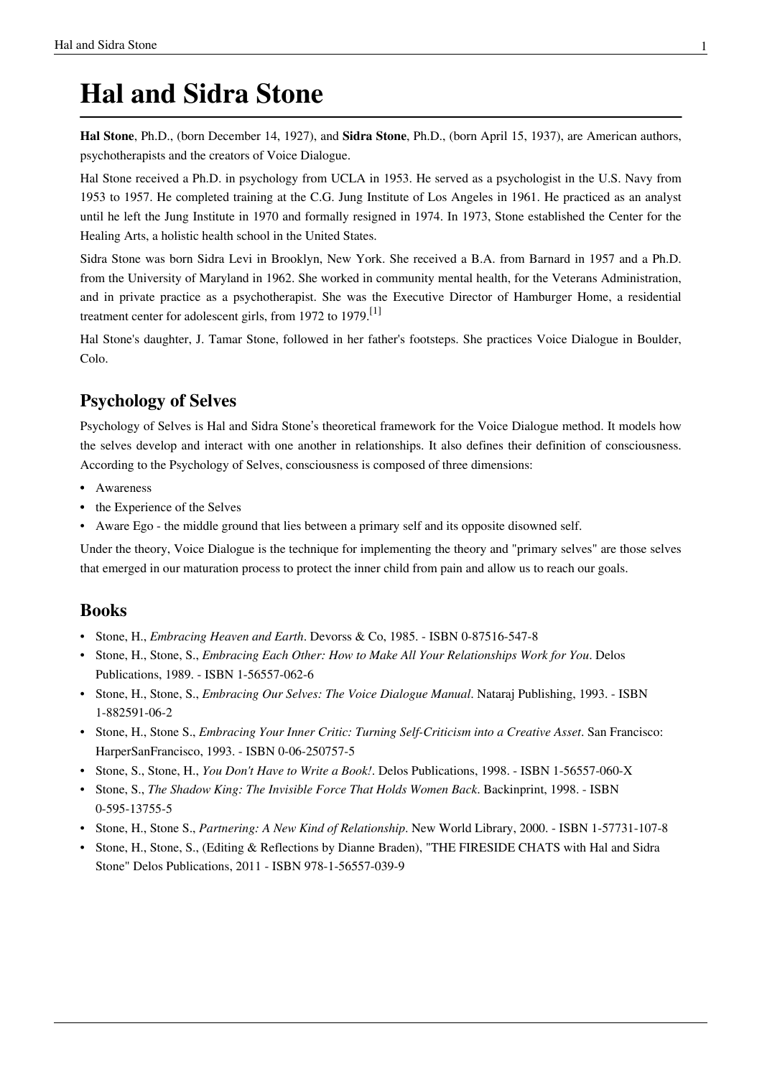# **Hal and Sidra Stone**

**Hal Stone**, Ph.D., (born December 14, 1927), and **Sidra Stone**, Ph.D., (born April 15, 1937), are American authors, [psychotherapists a](http://en.wikipedia.org/w/index.php?title=Psychotherapy)nd the creators of Voice Dialogue.

Hal Stone received a Ph.D. in [psychology](http://en.wikipedia.org/w/index.php?title=Psychology) from [UCLA i](http://en.wikipedia.org/w/index.php?title=UCLA)n 1953. He served as a [psychologist i](http://en.wikipedia.org/w/index.php?title=Psychologist)n the [U.S. Navy](http://en.wikipedia.org/w/index.php?title=U.S._Navy) from 1953 to 1957. He completed training at the [C.G. Jung I](http://en.wikipedia.org/w/index.php?title=C.G._Jung)nstitute of Los Angeles in 1961. He practiced as an analyst until he left the Jung Institute in 1970 and formally resigned in 1974. In 1973, Stone established the Center for the Healing Arts, a [holistic health s](http://en.wikipedia.org/w/index.php?title=Holistic_health)chool in the United States.

Sidra Stone was born Sidra Levi in [Brooklyn, New York.](http://en.wikipedia.org/w/index.php?title=Brooklyn%2C_New_York) She received a B.A. from [Barnard](http://en.wikipedia.org/w/index.php?title=Barnard_College) in 1957 and a Ph.D. from the [University of Maryland](http://en.wikipedia.org/w/index.php?title=University_of_Maryland%2C_College_Park) in 1962. She worked in community mental health, for the Veterans Administration, and in private practice as a psychotherapist. She was the Executive Director of Hamburger Home, a residential treatment center for adolescent girls, from 1972 to 1979.<sup>[1]</sup>

Hal Stone's daughter, J. Tamar Stone, followed in her father's footsteps. She practices Voice Dialogue in Boulder, Colo.

## **Psychology of Selves**

Psychology of Selves is Hal and Sidra Stone's theoretical framework for the Voice Dialogue method. It models how the selves develop and interact with one another in relationships. It also defines their definition of [consciousness](http://en.wikipedia.org/w/index.php?title=Consciousness). According to the Psychology of Selves, consciousness is composed of three dimensions:

- [Awareness](http://en.wikipedia.org/w/index.php?title=Awareness)
- the Experience of the Selves
- Aware Ego the middle ground that lies between a primary self and its opposite [disowned self](http://en.wikipedia.org/w/index.php?title=Disowned_Selves).

Under the theory, Voice Dialogue is the technique for implementing the theory and "primary selves" are those selves that emerged in our maturation process to protect the [inner child](http://en.wikipedia.org/w/index.php?title=Inner_child) from pain and allow us to reach our goals.

### **Books**

- Stone, H., *Embracing Heaven and Earth*. Devorss & Co, 1985. ISBN 0-87516-547-8
- Stone, H., Stone, S., *Embracing Each Other: How to Make All Your Relationships Work for You*. Delos Publications, 1989. - ISBN 1-56557-062-6
- Stone, H., Stone, S., *Embracing Our Selves: The Voice Dialogue Manual*. Nataraj Publishing, 1993. ISBN 1-882591-06-2
- Stone, H., Stone S., *Embracing Your [Inner Critic:](http://en.wikipedia.org/w/index.php?title=Inner_Critic) Turning Self-Criticism into a Creative Asset*. San Francisco: HarperSanFrancisco, 1993. - ISBN 0-06-250757-5
- Stone, S., Stone, H., *You Don't Have to Write a Book!*. Delos Publications, 1998. ISBN 1-56557-060-X
- Stone, S., *The Shadow King: The Invisible Force That Holds Women Back*. Backinprint, 1998. ISBN 0-595-13755-5
- Stone, H., Stone S., *Partnering: A New Kind of Relationship*. New World Library, 2000. ISBN 1-57731-107-8
- Stone, H., Stone, S., (Editing & Reflections by Dianne Braden), "THE FIRESIDE CHATS with Hal and Sidra Stone" Delos Publications, 2011 - ISBN 978-1-56557-039-9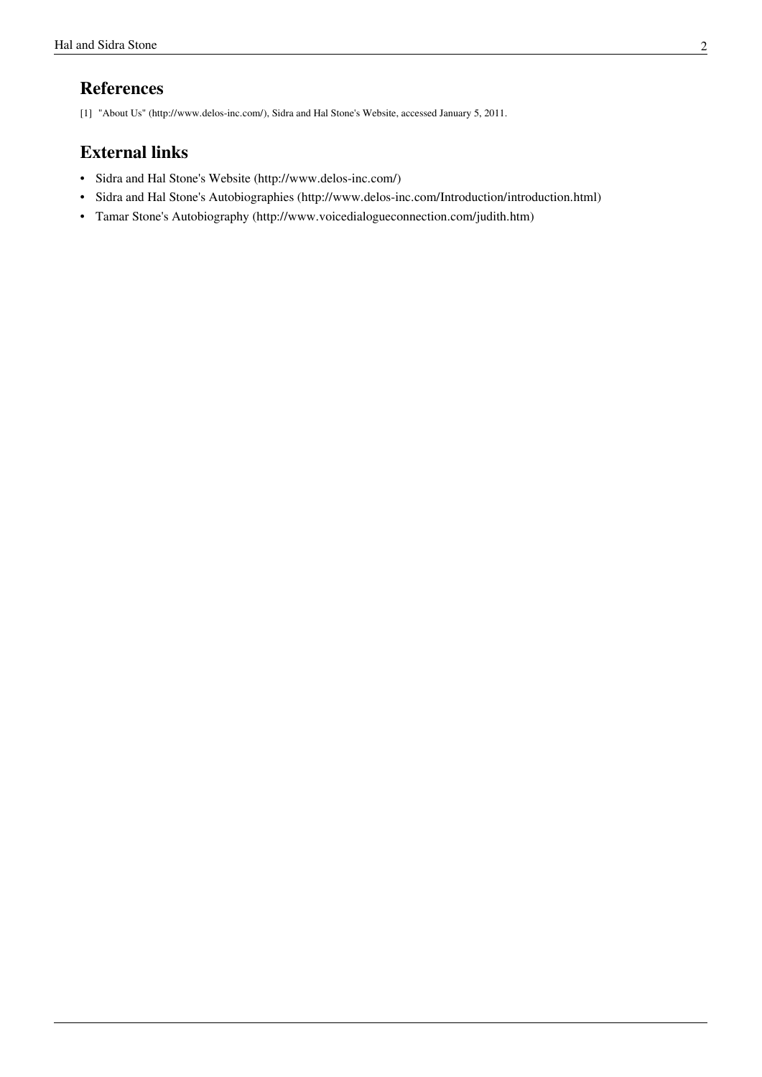## **References**

[1] "About Us" [\(http://www.delos-inc.com/\),](http://www.delos-inc.com/) Sidra and Hal Stone's Website, accessed January 5, 2011.

## **External links**

- Sidra and Hal Stone's Website [\(http://www.delos-inc.com/\)](http://www.delos-inc.com/)
- Sidra and Hal Stone's Autobiographies [\(http://www.delos-inc.com/Introduction/introduction.html\)](http://www.delos-inc.com/Introduction/introduction.html)
- Tamar Stone's Autobiography [\(http://www.voicedialogueconnection.com/judith.htm\)](http://www.voicedialogueconnection.com/judith.htm)